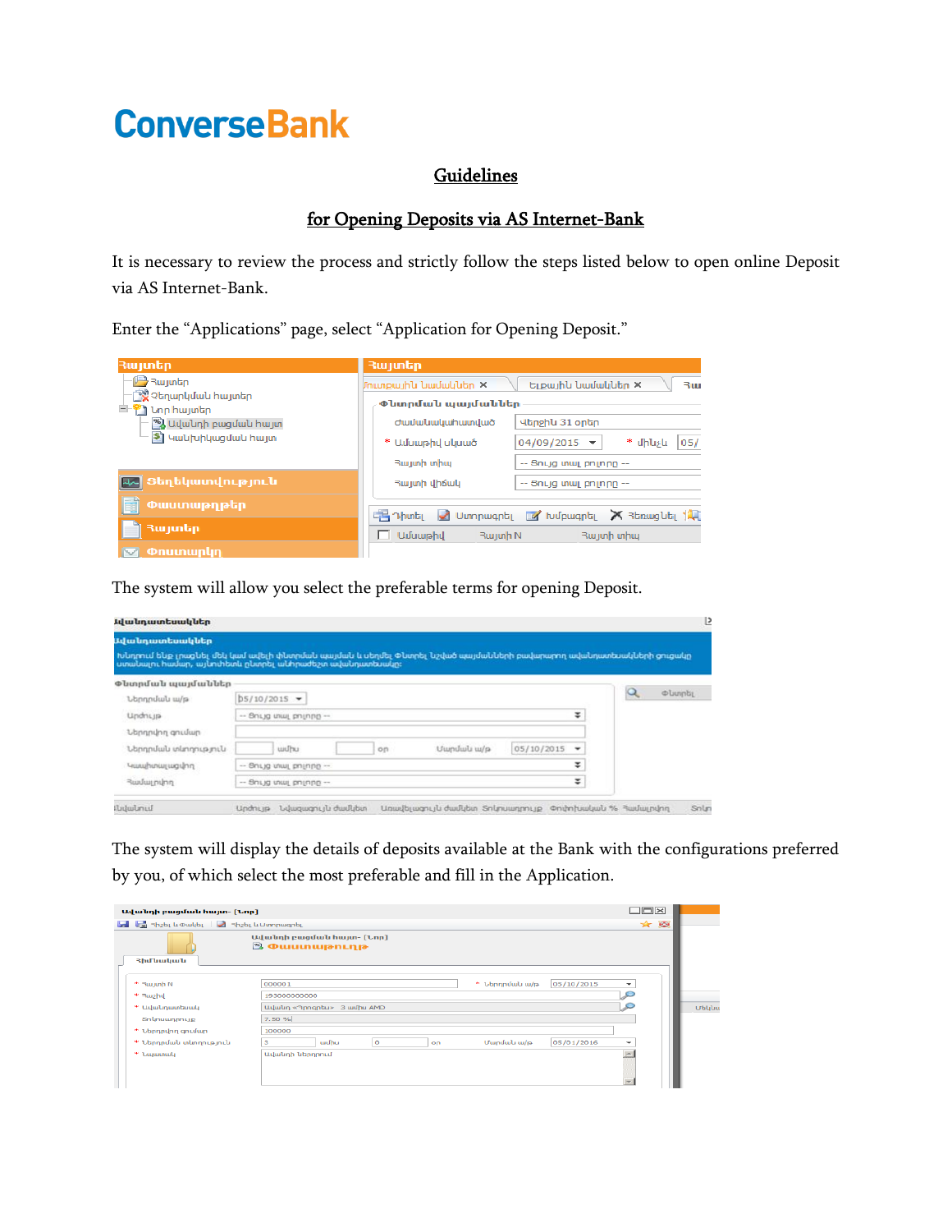## **ConverseBank**

## **Guidelines**

## for Opening Deposits via AS Internet-Bank

It is necessary to review the process and strictly follow the steps listed below to open online Deposit via AS Internet-Bank.

Enter the "Applications" page, select "Application for Opening Deposit."

| Յայտեր                                                                                                                                        | Յայտեր                                                                                      |
|-----------------------------------------------------------------------------------------------------------------------------------------------|---------------------------------------------------------------------------------------------|
| <b>图Rwjunbn</b><br><b>ୁર્©</b> Չեղարկմաև հայտեր<br><sup>白·警</sup> ] Նոր հայտեր<br>%) Ավանդի բացման հայտ<br><mark>\$] Կանիսիկացման հայտ</mark> | Ելքային նամակներ X<br>Մուտքային նամակներ ×<br>₹ш<br>Փնտրման պայմաններ                       |
|                                                                                                                                               | Վերջին 31 օրեր<br>Ժամանակահատված                                                            |
|                                                                                                                                               | * մինչև<br>05/<br>$04/09/2015$ $\rightarrow$<br>* Ամսաթիվ սկսած                             |
|                                                                                                                                               | Rwjunh unhuj<br>-- Յույց տալ բոլորը --                                                      |
| <mark>եշ,</mark> Տեղեկատվություն                                                                                                              | Յայտի վիճակ<br>$-$ Snig տալ բոլորը $-$                                                      |
| Փաստաթղթեր<br>e                                                                                                                               | $\mathbb{R}$ Thing $\mathbb{Z}$ Uimpiughti $\mathbb{Z}$ tulpiughti $\mathbb{X}$ Ranuguti 14 |
| Յայտեր                                                                                                                                        | $\Box$ Uuuumahu<br>Rwjunh unhuj<br>Rujunh N                                                 |
| $\Box$ Onumwnyn                                                                                                                               |                                                                                             |

The system will allow you select the preferable terms for opening Deposit.

| Ավանդատեսակներ                                                                                                                                                                   |                              |       |  |    |              |            |                      |  |
|----------------------------------------------------------------------------------------------------------------------------------------------------------------------------------|------------------------------|-------|--|----|--------------|------------|----------------------|--|
| Խնդրում ենք լրացնել մեկ կամ ավելի փնտրման պայման և սեղմել Փնտրել նշված պայմանների բավարարող ավանդատեսակների ցուցակը<br>ատակալու իավար, այկուհետև ըկտրել ակիրաժեշտ ավակոյատեսակը։ |                              |       |  |    |              |            |                      |  |
| Փնտրման պայմաններ                                                                                                                                                                |                              |       |  |    |              |            |                      |  |
| Ներդրման ա/թ                                                                                                                                                                     | $b5/10/2015$ $\star$         |       |  |    |              |            | <b><i>¢umpby</i></b> |  |
| Undnun                                                                                                                                                                           | -- 9nLjg www.pninng --       |       |  |    |              |            | Ŧ                    |  |
| Ներդրվող ցումար                                                                                                                                                                  |                              |       |  |    |              |            |                      |  |
| Ներդրման տևողություն                                                                                                                                                             |                              | wulhu |  | on | Utundulu w/p | 05/10/2015 | ٠                    |  |
| multipas suchultury                                                                                                                                                              | ÷<br>$-$ Snug տալ բոլորը $-$ |       |  |    |              |            |                      |  |
| Յամալրվող                                                                                                                                                                        | ÷<br>-- Յույց տալ բոլորը --  |       |  |    |              |            |                      |  |

The system will display the details of deposits available at the Bank with the configurations preferred by you, of which select the most preferable and fill in the Application.

| Ավանդի բացման հայտ- [Նոր]                                                          |                                                   |       |         |    |                           |            | $\Box$ $\Box$ $\times$   |     |
|------------------------------------------------------------------------------------|---------------------------------------------------|-------|---------|----|---------------------------|------------|--------------------------|-----|
| <b>A</b> Ra Rh <sub>2</sub> b <sub>L</sub> Lu Dwyb <sub>L</sub> 3h2bL Lu UunnwanbL |                                                   |       |         |    |                           |            |                          | * 0 |
| <b>3իմ նական</b>                                                                   | Ավանդի բացման հայտ- [Նոր]<br><b>S Owumwinning</b> |       |         |    |                           |            |                          |     |
| * Rujunh N<br>* Rushu                                                              | 000001<br>193000000000                            |       |         |    | $*$ <i>Lannndwy</i> $w/p$ | 05/10/2015 | $\overline{\phantom{0}}$ |     |
| * Ավակղատեսակ                                                                      | G<br>Ավանդ «Պրոգրես» 3 ամիս AMD                   |       |         |    |                           |            |                          |     |
| Snunuunnnup<br>* Ubnnnunn antuun                                                   | 7.50 %<br>100000                                  |       |         |    |                           |            |                          |     |
| * Ներդրման տևողություն                                                             | із.                                               | wulhu | $\circ$ | on | Մարմակ ա/թ                | 05/01/2016 | $\overline{\phantom{a}}$ |     |
| * <b><i>Laguanaly</i></b>                                                          | <b>Udwunh ubnnnnuf</b>                            |       |         |    |                           |            | <b>Inc.</b>              |     |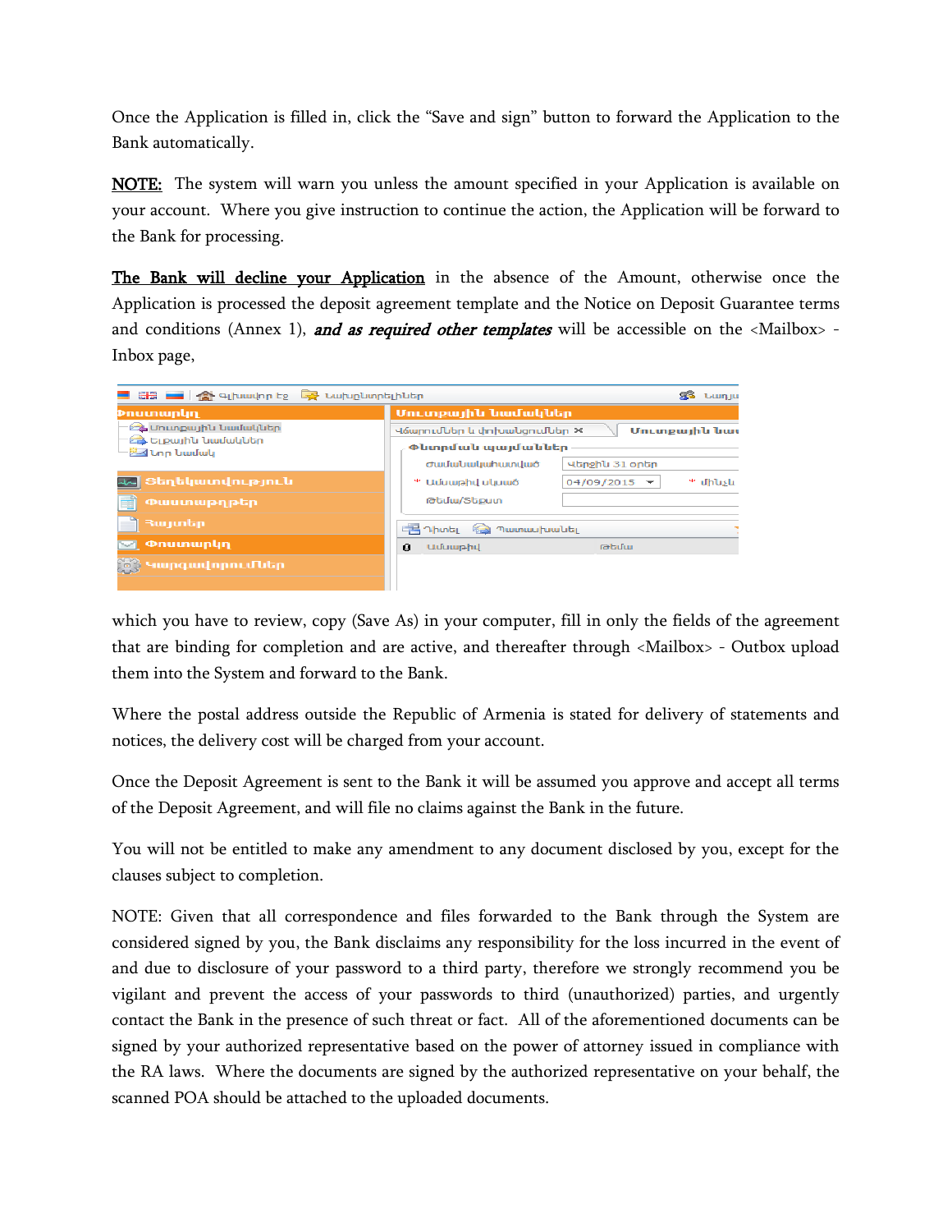Once the Application is filled in, click the "Save and sign" button to forward the Application to the Bank automatically.

**NOTE:** The system will warn you unless the amount specified in your Application is available on your account. Where you give instruction to continue the action, the Application will be forward to the Bank for processing.

The Bank will decline your Application in the absence of the Amount, otherwise once the Application is processed the deposit agreement template and the Notice on Deposit Guarantee terms and conditions (Annex 1), and as required other templates will be accessible on the  $\langle$ Mailbox> -Inbox page,



which you have to review, copy (Save As) in your computer, fill in only the fields of the agreement that are binding for completion and are active, and thereafter through <Mailbox> - Outbox upload them into the System and forward to the Bank.

Where the postal address outside the Republic of Armenia is stated for delivery of statements and notices, the delivery cost will be charged from your account.

Once the Deposit Agreement is sent to the Bank it will be assumed you approve and accept all terms of the Deposit Agreement, and will file no claims against the Bank in the future.

You will not be entitled to make any amendment to any document disclosed by you, except for the clauses subject to completion.

NOTE: Given that all correspondence and files forwarded to the Bank through the System are considered signed by you, the Bank disclaims any responsibility for the loss incurred in the event of and due to disclosure of your password to a third party, therefore we strongly recommend you be vigilant and prevent the access of your passwords to third (unauthorized) parties, and urgently contact the Bank in the presence of such threat or fact. All of the aforementioned documents can be signed by your authorized representative based on the power of attorney issued in compliance with the RA laws. Where the documents are signed by the authorized representative on your behalf, the scanned POA should be attached to the uploaded documents.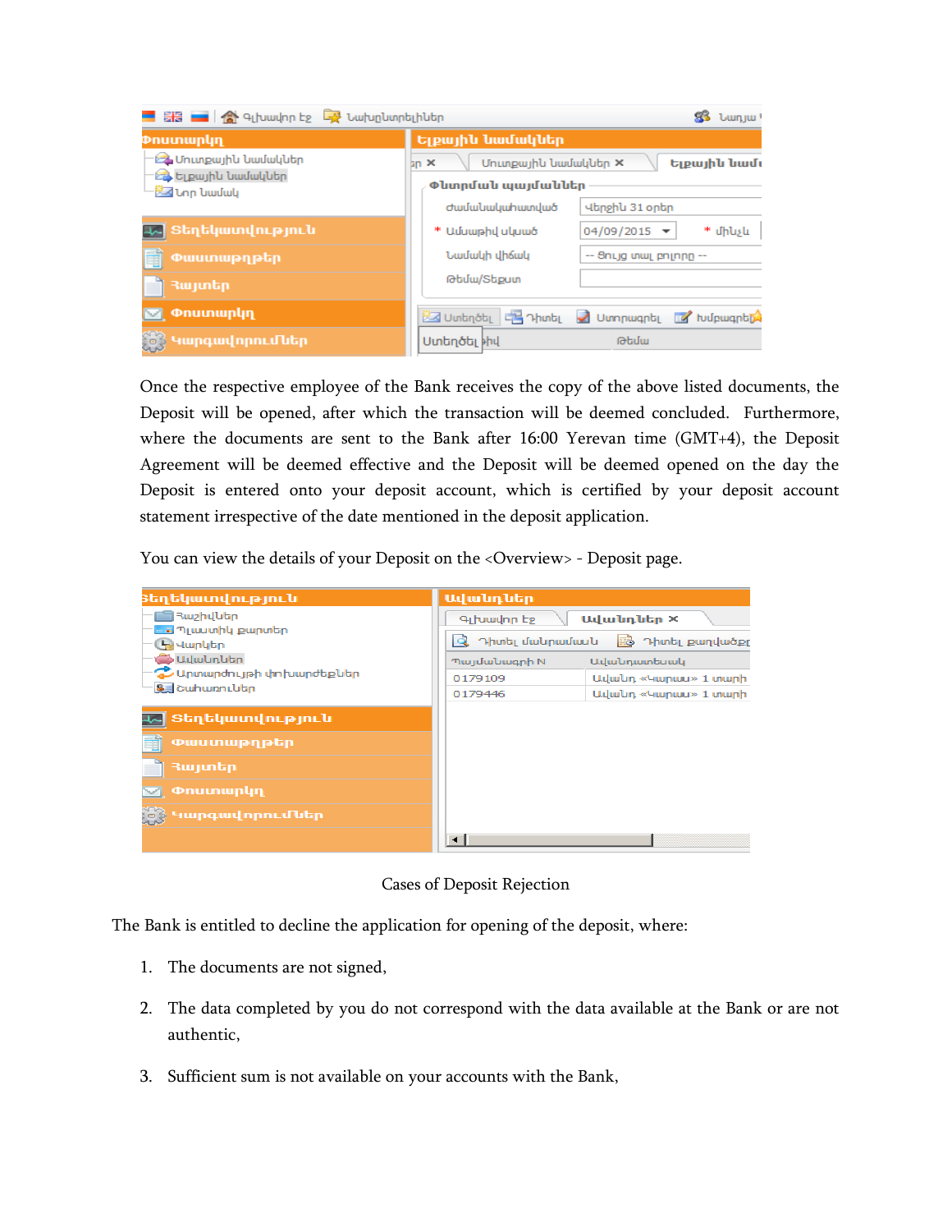| H - A 4 thundrin to A burbin burbin butch                           | 83 lumjul                                                            |                                            |  |  |  |  |
|---------------------------------------------------------------------|----------------------------------------------------------------------|--------------------------------------------|--|--|--|--|
| Dnuwwunlin                                                          | Ելքային նամակներ                                                     |                                            |  |  |  |  |
| <b>23 Մուտքային նամակներ</b><br><b>23 Ելքային նամակներ</b><br>™ամակ | Մուտքային նամակներ X<br>Ելքային նամյ<br>$\ln x$<br>Փևտրման պայմաններ |                                            |  |  |  |  |
|                                                                     | ժամանակահատված                                                       | Վերջին 31 օրեր                             |  |  |  |  |
| եջ Տեղեկատվություն                                                  | * Ամսաթիվ սկսած                                                      | * մինչև<br>$04/09/2015$ $\rightarrow$      |  |  |  |  |
| Eĩ<br>Փաստաթղթեր                                                    | Նամակի վիճակ                                                         | -- Յույց տալ բոլորը --                     |  |  |  |  |
| ■ Rwjuntin                                                          | Թեմա/Տեքստ                                                           |                                            |  |  |  |  |
| <b>S Onumwnun</b>                                                   |                                                                      | Uuntinoti E Thinti 1 Uunniught a hulpwanti |  |  |  |  |
| $\mathbb{R}^3$ Կարգավորումներ                                       | Uտեղծել <sup>ի</sup> իվ                                              | Թեմա                                       |  |  |  |  |

Once the respective employee of the Bank receives the copy of the above listed documents, the Deposit will be opened, after which the transaction will be deemed concluded. Furthermore, where the documents are sent to the Bank after 16:00 Yerevan time (GMT+4), the Deposit Agreement will be deemed effective and the Deposit will be deemed opened on the day the Deposit is entered onto your deposit account, which is certified by your deposit account statement irrespective of the date mentioned in the deposit application.

You can view the details of your Deposit on the <Overview> - Deposit page.



Cases of Deposit Rejection

The Bank is entitled to decline the application for opening of the deposit, where:

- 1. The documents are not signed,
- 2. The data completed by you do not correspond with the data available at the Bank or are not authentic,
- 3. Sufficient sum is not available on your accounts with the Bank,